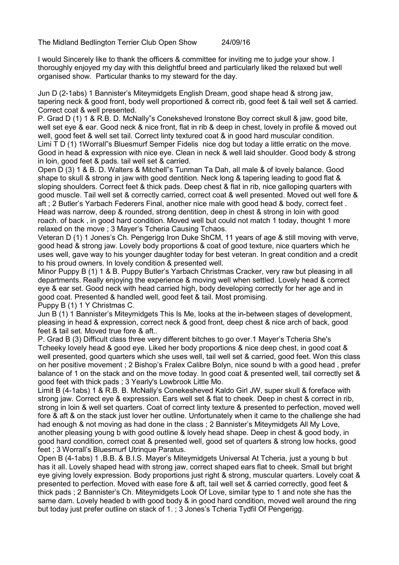I would Sincerely like to thank the officers & committee for inviting me to judge your show. I thoroughly enjoyed my day with this delightful breed and particularly liked the relaxed but well organised show. Particular thanks to my steward for the day.

Jun D (2-1abs) 1 Bannister's Miteymidgets English Dream, good shape head & strong jaw, tapering neck & good front, body well proportioned & correct rib, good feet & tail well set & carried. Correct coat & well presented.

P. Grad D (1) 1 & R.B. D. McNally"s Coneksheved Ironstone Boy correct skull & jaw, good bite, well set eye & ear. Good neck & nice front, flat in rib & deep in chest, lovely in profile & moved out well, good feet & well set tail. Correct linty textured coat & in good hard muscular condition. Limi T D (1) 1Worrall"s Bluesmurf Semper Fidelis nice dog but today a little erratic on the move. Good in head & expression with nice eye. Clean in neck & well laid shoulder. Good body & strong in loin, good feet & pads. tail well set & carried.

Open D (3) 1 & B. D. Walters & Mitchell"s Tunman Ta Dah, all male & of lovely balance. Good shape to skull & strong in jaw with good dentition. Neck long & tapering leading to good flat & sloping shoulders. Correct feet & thick pads. Deep chest & flat in rib, nice galloping quarters with good muscle. Tail well set & correctly carried, correct coat & well presented. Moved out well fore & aft ; 2 Butler's Yarbach Federers Final, another nice male with good head & body, correct feet . Head was narrow, deep & rounded, strong dentition, deep in chest & strong in loin with good roach. of back , in good hard condition. Moved well but could not match 1 today, thought 1 more relaxed on the move ; 3 Mayer's Tcheria Causing Tchaos.

Veteran D (1) 1 Jones's Ch. Pengerigg Iron Duke ShCM, 11 years of age & still moving with verve, good head & strong jaw. Lovely body proportions & coat of good texture, nice quarters which he uses well, gave way to his younger daughter today for best veteran. In great condition and a credit to his proud owners. In lovely condition & presented well.

Minor Puppy B (1) 1 & B. Puppy Butler's Yarbach Christmas Cracker, very raw but pleasing in all departments. Really enjoying the experience & moving well when settled. Lovely head & correct eye & ear set. Good neck with head carried high, body developing correctly for her age and in good coat. Presented & handled well, good feet & tail. Most promising.

Puppy B (1) 1 Y Christmas C.

Jun B (1) 1 Bannister's Miteymidgets This Is Me, looks at the in-between stages of development, pleasing in head & expression, correct neck & good front, deep chest & nice arch of back, good feet & tail set. Moved true fore & aft..

P. Grad B (3) Difficult class three very different bitches to go over.1 Mayer's Tcheria She's Tcheeky lovely head & good eye. Liked her body proportions & nice deep chest, in good coat & well presented, good quarters which she uses well, tail well set & carried, good feet. Won this class on her positive movement ; 2 Bishop's Fralex Calibre Bolyn, nice sound b with a good head , prefer balance of 1 on the stack and on the move today. In good coat & presented well, tail correctly set & good feet with thick pads ; 3 Yearly's Lowbrook Little Mo.

Limit B (4-1abs) 1 & R.B. B. McNally's Conekesheved Kaldo Girl JW, super skull & foreface with strong jaw. Correct eye & expression. Ears well set & flat to cheek. Deep in chest & correct in rib, strong in loin & well set quarters. Coat of correct linty texture & presented to perfection, moved well fore & aft & on the stack just lover her outline. Unfortunately when it came to the challenge she had had enough & not moving as had done in the class ; 2 Bannister's Miteymidgets All My Love, another pleasing young b with good outline & lovely head shape. Deep in chest & good body, in good hard condition, correct coat & presented well, good set of quarters & strong low hocks, good feet ; 3 Worrall's Bluesmurf Utrinque Paratus.

Open B (4-1abs) 1 ,B.B. & B.I.S. Mayer's Miteymidgets Universal At Tcheria, just a young b but has it all. Lovely shaped head with strong jaw, correct shaped ears flat to cheek. Small but bright eye giving lovely expression. Body proportions just right & strong, muscular quarters. Lovely coat & presented to perfection. Moved with ease fore & aft, tail well set & carried correctly, good feet & thick pads ; 2 Bannister's Ch. Miteymidgets Look Of Love, similar type to 1 and note she has the same dam. Lovely headed b with good body & in good hard condition, moved well around the ring but today just prefer outline on stack of 1. ; 3 Jones's Tcheria Tydfil Of Pengerigg.